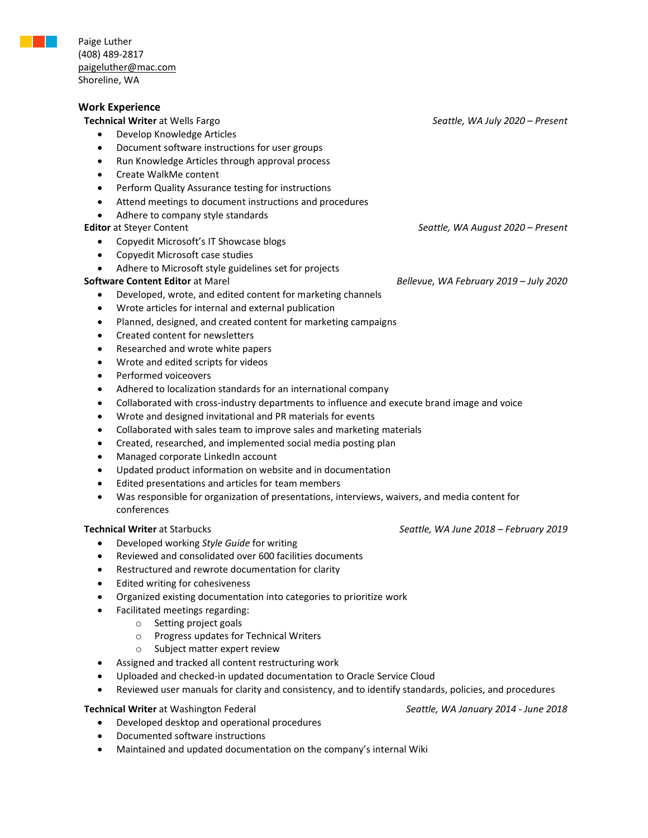

Paige Luther (408) 489-2817 [paigeluther@mac.com](mailto:paigeluther@mac.com) Shoreline, WA

## **Work Experience**

- Develop Knowledge Articles
- Document software instructions for user groups
- Run Knowledge Articles through approval process
- Create WalkMe content
- Perform Quality Assurance testing for instructions
- Attend meetings to document instructions and procedures
- Adhere to company style standards

### **Editor** at Steyer Content *Seattle, WA August 2020 – Present*

- Copyedit Microsoft's IT Showcase blogs
- Copyedit Microsoft case studies
- Adhere to Microsoft style guidelines set for projects

- Developed, wrote, and edited content for marketing channels
- Wrote articles for internal and external publication
- Planned, designed, and created content for marketing campaigns
- Created content for newsletters
- Researched and wrote white papers
- Wrote and edited scripts for videos
- Performed voiceovers
- Adhered to localization standards for an international company
- Collaborated with cross-industry departments to influence and execute brand image and voice
- Wrote and designed invitational and PR materials for events
- Collaborated with sales team to improve sales and marketing materials
- Created, researched, and implemented social media posting plan
- Managed corporate LinkedIn account
- Updated product information on website and in documentation
- Edited presentations and articles for team members
- Was responsible for organization of presentations, interviews, waivers, and media content for conferences

- Developed working *Style Guide* for writing
- Reviewed and consolidated over 600 facilities documents
- Restructured and rewrote documentation for clarity
- Edited writing for cohesiveness
- Organized existing documentation into categories to prioritize work
- Facilitated meetings regarding:
	- o Setting project goals
	- o Progress updates for Technical Writers
	- o Subject matter expert review
- Assigned and tracked all content restructuring work
- Uploaded and checked-in updated documentation to Oracle Service Cloud
- Reviewed user manuals for clarity and consistency, and to identify standards, policies, and procedures

### **Technical Writer** at Washington Federal *Seattle, WA January 2014 - June 2018*

- Developed desktop and operational procedures
- Documented software instructions
- Maintained and updated documentation on the company's internal Wiki

**Technical Writer** at Wells Fargo *Seattle, WA July 2020 – Present*

**Software Content Editor** at Marel *Bellevue, WA February 2019 – July 2020*

**Technical Writer** at Starbucks *Seattle, WA June 2018 – February 2019*